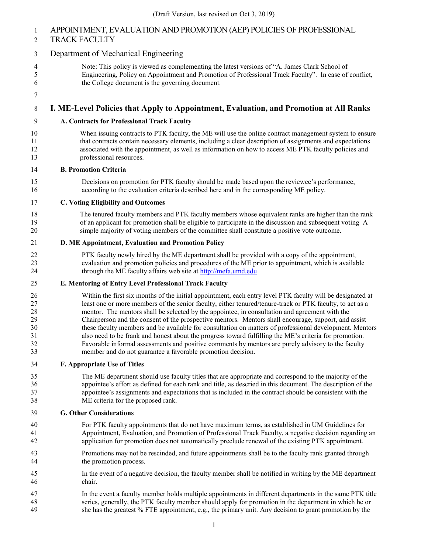# APPOINTMENT, EVALUATION AND PROMOTION (AEP) POLICIES OF PROFESSIONAL

## TRACK FACULTY

## Department of Mechanical Engineering

- Note: This policy is viewed as complementing the latest versions of "A. James Clark School of Engineering, Policy on Appointment and Promotion of Professional Track Faculty". In case of conflict, the College document is the governing document.
- 

## **I. ME-Level Policies that Apply to Appointment, Evaluation, and Promotion at All Ranks**

- **A. Contracts for Professional Track Faculty**
- When issuing contracts to PTK faculty, the ME will use the online contract management system to ensure that contracts contain necessary elements, including a clear description of assignments and expectations associated with the appointment, as well as information on how to access ME PTK faculty policies and professional resources.
- **B. Promotion Criteria**
- Decisions on promotion for PTK faculty should be made based upon the reviewee's performance, according to the evaluation criteria described here and in the corresponding ME policy.

## **C. Voting Eligibility and Outcomes**

 The tenured faculty members and PTK faculty members whose equivalent ranks are higher than the rank of an applicant for promotion shall be eligible to participate in the discussion and subsequent voting A simple majority of voting members of the committee shall constitute a positive vote outcome.

#### **D. ME Appointment, Evaluation and Promotion Policy**

 PTK faculty newly hired by the ME department shall be provided with a copy of the appointment, evaluation and promotion policies and procedures of the ME prior to appointment, which is available through the ME faculty affairs web site at [http://mefa.umd.edu](http://mefa.umd.edu/)

## **E. Mentoring of Entry Level Professional Track Faculty**

 Within the first six months of the initial appointment, each entry level PTK faculty will be designated at 27 least one or more members of the senior faculty, either tenured/tenure-track or PTK faculty, to act as a mentor. The mentors shall be selected by the appointee, in consultation and agreement with the mentor. The mentors shall be selected by the appointee, in consultation and agreement with the Chairperson and the consent of the prospective mentors. Mentors shall encourage, support, and assist 30 these faculty members and be available for consultation on matters of professional development. Mentors also need to be frank and honest about the progress toward fulfilling the ME's criteria for promotion. also need to be frank and honest about the progress toward fulfilling the ME's criteria for promotion. Favorable informal assessments and positive comments by mentors are purely advisory to the faculty member and do not guarantee a favorable promotion decision.

## **F. Appropriate Use of Titles**

 The ME department should use faculty titles that are appropriate and correspond to the majority of the 36 appointee's effort as defined for each rank and title, as descried in this document. The description of the<br>37 appointee's assignments and expectations that is included in the contract should be consistent with the appointee's assignments and expectations that is included in the contract should be consistent with the ME criteria for the proposed rank.

## **G. Other Considerations**

- For PTK faculty appointments that do not have maximum terms, as established in UM Guidelines for Appointment, Evaluation, and Promotion of Professional Track Faculty, a negative decision regarding an application for promotion does not automatically preclude renewal of the existing PTK appointment.
- Promotions may not be rescinded, and future appointments shall be to the faculty rank granted through the promotion process.
- In the event of a negative decision, the faculty member shall be notified in writing by the ME department chair.
- In the event a faculty member holds multiple appointments in different departments in the same PTK title series, generally, the PTK faculty member should apply for promotion in the department in which he or she has the greatest % FTE appointment, e.g., the primary unit. Any decision to grant promotion by the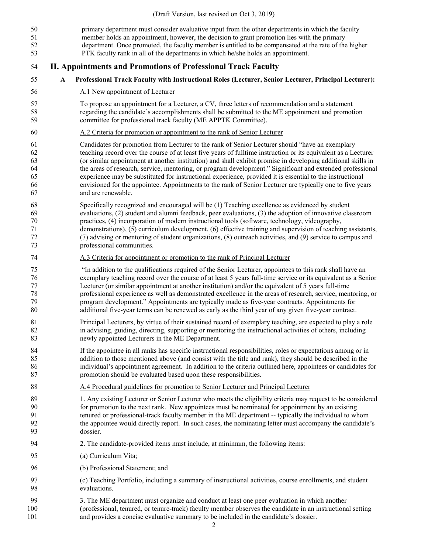- primary department must consider evaluative input from the other departments in which the faculty member holds an appointment, however, the decision to grant promotion lies with the primary department. Once promoted, the faculty member is entitled to be compensated at the rate of the higher PTK faculty rank in all of the departments in which he/she holds an appointment. **II. Appointments and Promotions of Professional Track Faculty A Professional Track Faculty with Instructional Roles (Lecturer, Senior Lecturer, Principal Lecturer):**  A.1 New appointment of Lecturer To propose an appointment for a Lecturer, a CV, three letters of recommendation and a statement regarding the candidate's accomplishments shall be submitted to the ME appointment and promotion committee for professional track faculty (ME APPTK Committee). A.2 Criteria for promotion or appointment to the rank of Senior Lecturer Candidates for promotion from Lecturer to the rank of Senior Lecturer should "have an exemplary teaching record over the course of at least five years of fulltime instruction or its equivalent as a Lecturer (or similar appointment at another institution) and shall exhibit promise in developing additional skills in the areas of research, service, mentoring, or program development." Significant and extended professional experience may be substituted for instructional experience, provided it is essential to the instructional envisioned for the appointee. Appointments to the rank of Senior Lecturer are typically one to five years and are renewable. Specifically recognized and encouraged will be (1) Teaching excellence as evidenced by student evaluations, (2) student and alumni feedback, peer evaluations, (3) the adoption of innovative classroom practices, (4) incorporation of modern instructional tools (software, technology, videography, demonstrations), (5) curriculum development, (6) effective training and supervision of teaching assistants, (7) advising or mentoring of student organizations, (8) outreach activities, and (9) service to campus and professional communities. A.3 Criteria for appointment or promotion to the rank of Principal Lecturer "In addition to the qualifications required of the Senior Lecturer, appointees to this rank shall have an exemplary teaching record over the course of at least 5 years full-time service or its equivalent as a Senior Lecturer (or similar appointment at another institution) and/or the equivalent of 5 years full-time professional experience as well as demonstrated excellence in the areas of research, service, mentoring, or program development." Appointments are typically made as five-year contracts. Appointments for additional five-year terms can be renewed as early as the third year of any given five-year contract. Principal Lecturers, by virtue of their sustained record of exemplary teaching, are expected to play a role in advising, guiding, directing, supporting or mentoring the instructional activities of others, including newly appointed Lecturers in the ME Department. If the appointee in all ranks has specific instructional responsibilities, roles or expectations among or in addition to those mentioned above (and consist with the title and rank), they should be described in the individual's appointment agreement. In addition to the criteria outlined here, appointees or candidates for promotion should be evaluated based upon these responsibilities. A.4 Procedural guidelines for promotion to Senior Lecturer and Principal Lecturer 1. Any existing Lecturer or Senior Lecturer who meets the eligibility criteria may request to be considered for promotion to the next rank. New appointees must be nominated for appointment by an existing tenured or professional-track faculty member in the ME department -- typically the individual to whom the appointee would directly report. In such cases, the nominating letter must accompany the candidate's dossier. 2. The candidate-provided items must include, at minimum, the following items: (a) Curriculum Vita; (b) Professional Statement; and (c) Teaching Portfolio, including a summary of instructional activities, course enrollments, and student evaluations. 3. The ME department must organize and conduct at least one peer evaluation in which another (professional, tenured, or tenure-track) faculty member observes the candidate in an instructional setting
- and provides a concise evaluative summary to be included in the candidate's dossier.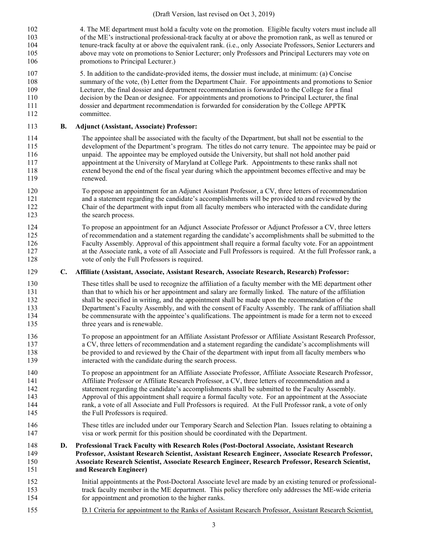4. The ME department must hold a faculty vote on the promotion. Eligible faculty voters must include all of the ME's instructional professional-track faculty at or above the promotion rank, as well as tenured or tenure-track faculty at or above the equivalent rank. (i.e., only Associate Professors, Senior Lecturers and above may vote on promotions to Senior Lecturer; only Professors and Principal Lecturers may vote on promotions to Principal Lecturer.)

 5. In addition to the candidate-provided items, the dossier must include, at minimum: (a) Concise summary of the vote, (b) Letter from the Department Chair. For appointments and promotions to Senior Lecturer, the final dossier and department recommendation is forwarded to the College for a final decision by the Dean or designee. For appointments and promotions to Principal Lecturer, the final dossier and department recommendation is forwarded for consideration by the College APPTK committee.

#### **B. Adjunct (Assistant, Associate) Professor:**

 The appointee shall be associated with the faculty of the Department, but shall not be essential to the development of the Department's program. The titles do not carry tenure. The appointee may be paid or unpaid. The appointee may be employed outside the University, but shall not hold another paid appointment at the University of Maryland at College Park. Appointments to these ranks shall not extend beyond the end of the fiscal year during which the appointment becomes effective and may be renewed.

 To propose an appointment for an Adjunct Assistant Professor, a CV, three letters of recommendation and a statement regarding the candidate's accomplishments will be provided to and reviewed by the Chair of the department with input from all faculty members who interacted with the candidate during 123 the search process.

 To propose an appointment for an Adjunct Associate Professor or Adjunct Professor a CV, three letters of recommendation and a statement regarding the candidate's accomplishments shall be submitted to the Faculty Assembly. Approval of this appointment shall require a formal faculty vote. For an appointment at the Associate rank, a vote of all Associate and Full Professors is required. At the full Professor rank, a vote of only the Full Professors is required.

#### **C. Affiliate (Assistant, Associate, Assistant Research, Associate Research, Research) Professor:**

 These titles shall be used to recognize the affiliation of a faculty member with the ME department other than that to which his or her appointment and salary are formally linked. The nature of the affiliation shall be specified in writing, and the appointment shall be made upon the recommendation of the Department's Faculty Assembly, and with the consent of Faculty Assembly. The rank of affiliation shall be commensurate with the appointee's qualifications. The appointment is made for a term not to exceed 135 three years and is renewable.

 To propose an appointment for an Affiliate Assistant Professor or Affiliate Assistant Research Professor, a CV, three letters of recommendation and a statement regarding the candidate's accomplishments will be provided to and reviewed by the Chair of the department with input from all faculty members who interacted with the candidate during the search process.

 To propose an appointment for an Affiliate Associate Professor, Affiliate Associate Research Professor, Affiliate Professor or Affiliate Research Professor, a CV, three letters of recommendation and a statement regarding the candidate's accomplishments shall be submitted to the Faculty Assembly. Approval of this appointment shall require a formal faculty vote. For an appointment at the Associate rank, a vote of all Associate and Full Professors is required. At the Full Professor rank, a vote of only 145 the Full Professors is required.

 These titles are included under our Temporary Search and Selection Plan. Issues relating to obtaining a visa or work permit for this position should be coordinated with the Department.

 **D. Professional Track Faculty with Research Roles (Post-Doctoral Associate, Assistant Research Professor, Assistant Research Scientist, Assistant Research Engineer, Associate Research Professor, Associate Research Scientist, Associate Research Engineer, Research Professor, Research Scientist, and Research Engineer)**

- Initial appointments at the Post-Doctoral Associate level are made by an existing tenured or professional- track faculty member in the ME department. This policy therefore only addresses the ME-wide criteria for appointment and promotion to the higher ranks.
- D.1 Criteria for appointment to the Ranks of Assistant Research Professor, Assistant Research Scientist,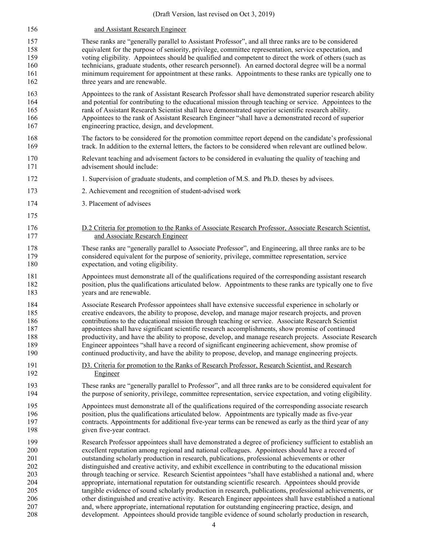| 156 | and Assistant Research Engineer                                                                             |
|-----|-------------------------------------------------------------------------------------------------------------|
| 157 | These ranks are "generally parallel to Assistant Professor", and all three ranks are to be considered       |
| 158 | equivalent for the purpose of seniority, privilege, committee representation, service expectation, and      |
| 159 | voting eligibility. Appointees should be qualified and competent to direct the work of others (such as      |
| 160 | technicians, graduate students, other research personnel). An earned doctoral degree will be a normal       |
| 161 | minimum requirement for appointment at these ranks. Appointments to these ranks are typically one to        |
| 162 | three years and are renewable.                                                                              |
| 163 | Appointees to the rank of Assistant Research Professor shall have demonstrated superior research ability    |
| 164 | and potential for contributing to the educational mission through teaching or service. Appointees to the    |
| 165 | rank of Assistant Research Scientist shall have demonstrated superior scientific research ability.          |
| 166 | Appointees to the rank of Assistant Research Engineer "shall have a demonstrated record of superior         |
| 167 | engineering practice, design, and development.                                                              |
| 168 | The factors to be considered for the promotion committee report depend on the candidate's professional      |
| 169 | track. In addition to the external letters, the factors to be considered when relevant are outlined below.  |
| 170 | Relevant teaching and advisement factors to be considered in evaluating the quality of teaching and         |
| 171 | advisement should include:                                                                                  |
| 172 | 1. Supervision of graduate students, and completion of M.S. and Ph.D. theses by advisees.                   |
| 173 | 2. Achievement and recognition of student-advised work                                                      |
| 174 | 3. Placement of advisees                                                                                    |
| 175 |                                                                                                             |
| 176 | D.2 Criteria for promotion to the Ranks of Associate Research Professor, Associate Research Scientist,      |
| 177 | and Associate Research Engineer                                                                             |
| 178 | These ranks are "generally parallel to Associate Professor", and Engineering, all three ranks are to be     |
| 179 | considered equivalent for the purpose of seniority, privilege, committee representation, service            |
| 180 | expectation, and voting eligibility.                                                                        |
| 181 | Appointees must demonstrate all of the qualifications required of the corresponding assistant research      |
| 182 | position, plus the qualifications articulated below. Appointments to these ranks are typically one to five  |
| 183 | years and are renewable.                                                                                    |
| 184 | Associate Research Professor appointees shall have extensive successful experience in scholarly or          |
| 185 | creative endeavors, the ability to propose, develop, and manage major research projects, and proven         |
| 186 | contributions to the educational mission through teaching or service. Associate Research Scientist          |
| 187 | appointees shall have significant scientific research accomplishments, show promise of continued            |
| 188 | productivity, and have the ability to propose, develop, and manage research projects. Associate Research    |
| 189 | Engineer appointees "shall have a record of significant engineering achievement, show promise of            |
| 190 | continued productivity, and have the ability to propose, develop, and manage engineering projects.          |
| 191 | D3. Criteria for promotion to the Ranks of Research Professor, Research Scientist, and Research             |
| 192 | Engineer                                                                                                    |
| 193 | These ranks are "generally parallel to Professor", and all three ranks are to be considered equivalent for  |
| 194 | the purpose of seniority, privilege, committee representation, service expectation, and voting eligibility. |
| 195 | Appointees must demonstrate all of the qualifications required of the corresponding associate research      |
| 196 | position, plus the qualifications articulated below. Appointments are typically made as five-year           |
| 197 | contracts. Appointments for additional five-year terms can be renewed as early as the third year of any     |
| 198 | given five-year contract.                                                                                   |
| 199 | Research Professor appointees shall have demonstrated a degree of proficiency sufficient to establish an    |
| 200 | excellent reputation among regional and national colleagues. Appointees should have a record of             |
| 201 | outstanding scholarly production in research, publications, professional achievements or other              |
| 202 | distinguished and creative activity, and exhibit excellence in contributing to the educational mission      |
| 203 | through teaching or service. Research Scientist appointees "shall have established a national and, where    |
| 204 | appropriate, international reputation for outstanding scientific research. Appointees should provide        |
| 205 | tangible evidence of sound scholarly production in research, publications, professional achievements, or    |
| 206 | other distinguished and creative activity. Research Engineer appointees shall have established a national   |
| 207 | and, where appropriate, international reputation for outstanding engineering practice, design, and          |
| 208 | development. Appointees should provide tangible evidence of sound scholarly production in research,         |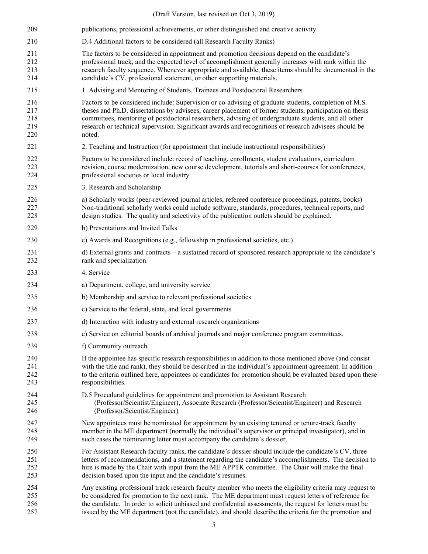| 209                             | publications, professional achievements, or other distinguished and creative activity.                                                                                                                                                                                                                                                                                                                                                       |
|---------------------------------|----------------------------------------------------------------------------------------------------------------------------------------------------------------------------------------------------------------------------------------------------------------------------------------------------------------------------------------------------------------------------------------------------------------------------------------------|
| 210                             | D.4 Additional factors to be considered (all Research Faculty Ranks)                                                                                                                                                                                                                                                                                                                                                                         |
| 211<br>212<br>213<br>214        | The factors to be considered in appointment and promotion decisions depend on the candidate's<br>professional track, and the expected level of accomplishment generally increases with rank within the<br>research faculty sequence. Whenever appropriate and available, these items should be documented in the<br>candidate's CV, professional statement, or other supporting materials.                                                   |
| 215                             | 1. Advising and Mentoring of Students, Trainees and Postdoctoral Researchers                                                                                                                                                                                                                                                                                                                                                                 |
| 216<br>217<br>218<br>219<br>220 | Factors to be considered include: Supervision or co-advising of graduate students, completion of M.S.<br>theses and Ph.D. dissertations by advisees, career placement of former students, participation on thesis<br>committees, mentoring of postdoctoral researchers, advising of undergraduate students, and all other<br>research or technical supervision. Significant awards and recognitions of research advisees should be<br>noted. |
| 221                             | 2. Teaching and Instruction (for appointment that include instructional responsibilities)                                                                                                                                                                                                                                                                                                                                                    |
| 222<br>223<br>224               | Factors to be considered include: record of teaching, enrollments, student evaluations, curriculum<br>revision, course modernization, new course development, tutorials and short-courses for conferences,<br>professional societies or local industry.                                                                                                                                                                                      |
| 225                             | 3. Research and Scholarship                                                                                                                                                                                                                                                                                                                                                                                                                  |
| 226<br>227<br>228               | a) Scholarly works (peer-reviewed journal articles, refereed conference proceedings, patents, books)<br>Non-traditional scholarly works could include software, standards, procedures, technical reports, and<br>design studies. The quality and selectivity of the publication outlets should be explained.                                                                                                                                 |
| 229                             | b) Presentations and Invited Talks                                                                                                                                                                                                                                                                                                                                                                                                           |
| 230                             | c) Awards and Recognitions (e.g., fellowship in professional societies, etc.)                                                                                                                                                                                                                                                                                                                                                                |
| 231<br>232                      | d) External grants and contracts – a sustained record of sponsored research appropriate to the candidate's<br>rank and specialization.                                                                                                                                                                                                                                                                                                       |
| 233                             | 4. Service                                                                                                                                                                                                                                                                                                                                                                                                                                   |
| 234                             | a) Department, college, and university service                                                                                                                                                                                                                                                                                                                                                                                               |
| 235                             | b) Membership and service to relevant professional societies                                                                                                                                                                                                                                                                                                                                                                                 |
| 236                             | c) Service to the federal, state, and local governments                                                                                                                                                                                                                                                                                                                                                                                      |
| 237                             | d) Interaction with industry and external research organizations                                                                                                                                                                                                                                                                                                                                                                             |
| 238                             | e) Service on editorial boards of archival journals and major conference program committees.                                                                                                                                                                                                                                                                                                                                                 |
| 239                             | f) Community outreach                                                                                                                                                                                                                                                                                                                                                                                                                        |
| 240<br>241<br>242<br>243        | If the appointee has specific research responsibilities in addition to those mentioned above (and consist<br>with the title and rank), they should be described in the individual's appointment agreement. In addition<br>to the criteria outlined here, appointees or candidates for promotion should be evaluated based upon these<br>responsibilities.                                                                                    |
| 244<br>245<br>246               | D.5 Procedural guidelines for appointment and promotion to Assistant Research<br>(Professor/Scientist/Engineer), Associate Research (Professor/Scientist/Engineer) and Research<br>(Professor/Scientist/Engineer)                                                                                                                                                                                                                            |
| 247<br>248<br>249               | New appointees must be nominated for appointment by an existing tenured or tenure-track faculty<br>member in the ME department (normally the individual's supervisor or principal investigator), and in<br>such cases the nominating letter must accompany the candidate's dossier.                                                                                                                                                          |
| 250<br>251<br>252<br>253        | For Assistant Research faculty ranks, the candidate's dossier should include the candidate's CV, three<br>letters of recommendations, and a statement regarding the candidate's accomplishments. The decision to<br>hire is made by the Chair with input from the ME APPTK committee. The Chair will make the final<br>decision based upon the input and the candidate's resumes.                                                            |
| 254<br>255<br>256<br>257        | Any existing professional track research faculty member who meets the eligibility criteria may request to<br>be considered for promotion to the next rank. The ME department must request letters of reference for<br>the candidate. In order to solicit unbiased and confidential assessments, the request for letters must be<br>issued by the ME department (not the candidate), and should describe the criteria for the promotion and   |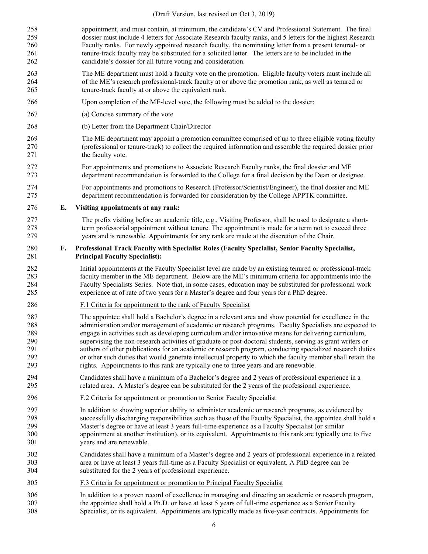- appointment, and must contain, at minimum, the candidate's CV and Professional Statement. The final dossier must include 4 letters for Associate Research faculty ranks, and 5 letters for the highest Research Faculty ranks. For newly appointed research faculty, the nominating letter from a present tenured- or tenure-track faculty may be substituted for a solicited letter. The letters are to be included in the candidate's dossier for all future voting and consideration.
- The ME department must hold a faculty vote on the promotion. Eligible faculty voters must include all of the ME's research professional-track faculty at or above the promotion rank, as well as tenured or tenure-track faculty at or above the equivalent rank.
- Upon completion of the ME-level vote, the following must be added to the dossier:
- (a) Concise summary of the vote
- (b) Letter from the Department Chair/Director
- The ME department may appoint a promotion committee comprised of up to three eligible voting faculty (professional or tenure-track) to collect the required information and assemble the required dossier prior 271 the faculty vote.
- For appointments and promotions to Associate Research Faculty ranks, the final dossier and ME department recommendation is forwarded to the College for a final decision by the Dean or designee.
- For appointments and promotions to Research (Professor/Scientist/Engineer), the final dossier and ME department recommendation is forwarded for consideration by the College APPTK committee.
- **E. Visiting appointments at any rank:**
- The prefix visiting before an academic title, e.g., Visiting Professor, shall be used to designate a short- term professorial appointment without tenure. The appointment is made for a term not to exceed three years and is renewable. Appointments for any rank are made at the discretion of the Chair.

#### **F. Professional Track Faculty with Specialist Roles (Faculty Specialist, Senior Faculty Specialist, Principal Faculty Specialist):**

- Initial appointments at the Faculty Specialist level are made by an existing tenured or professional-track faculty member in the ME department. Below are the ME's minimum criteria for appointments into the Faculty Specialists Series. Note that, in some cases, education may be substituted for professional work experience at of rate of two years for a Master's degree and four years for a PhD degree.
- F.1 Criteria for appointment to the rank of Faculty Specialist
- The appointee shall hold a Bachelor's degree in a relevant area and show potential for excellence in the administration and/or management of academic or research programs. Faculty Specialists are expected to engage in activities such as developing curriculum and/or innovative means for delivering curriculum, supervising the non-research activities of graduate or post-doctoral students, serving as grant writers or 291 authors of other publications for an academic or research program, conducting specialized research duties<br>292 or other such duties that would generate intellectual property to which the faculty member shall retain the or other such duties that would generate intellectual property to which the faculty member shall retain the rights. Appointments to this rank are typically one to three years and are renewable.
- Candidates shall have a minimum of a Bachelor's degree and 2 years of professional experience in a related area. A Master's degree can be substituted for the 2 years of the professional experience.
- F.2 Criteria for appointment or promotion to Senior Faculty Specialist
- In addition to showing superior ability to administer academic or research programs, as evidenced by successfully discharging responsibilities such as those of the Faculty Specialist, the appointee shall hold a Master's degree or have at least 3 years full-time experience as a Faculty Specialist (or similar appointment at another institution), or its equivalent. Appointments to this rank are typically one to five years and are renewable.
- Candidates shall have a minimum of a Master's degree and 2 years of professional experience in a related area or have at least 3 years full-time as a Faculty Specialist or equivalent. A PhD degree can be substituted for the 2 years of professional experience.
- F.3 Criteria for appointment or promotion to Principal Faculty Specialist
- In addition to a proven record of excellence in managing and directing an academic or research program, the appointee shall hold a Ph.D. or have at least 5 years of full-time experience as a Senior Faculty Specialist, or its equivalent. Appointments are typically made as five-year contracts. Appointments for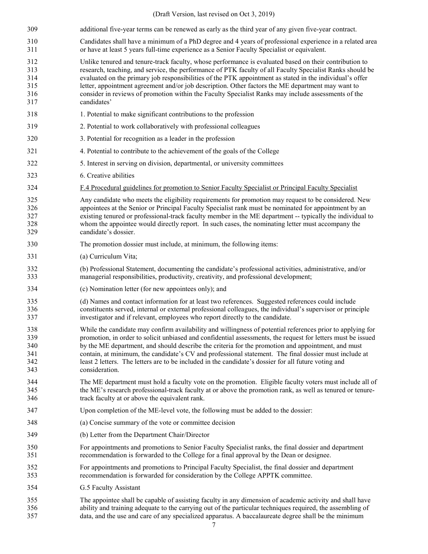| 309                                    | additional five-year terms can be renewed as early as the third year of any given five-year contract.                                                                                                                                                                                                                                                                                                                                                                                                                                                               |
|----------------------------------------|---------------------------------------------------------------------------------------------------------------------------------------------------------------------------------------------------------------------------------------------------------------------------------------------------------------------------------------------------------------------------------------------------------------------------------------------------------------------------------------------------------------------------------------------------------------------|
| 310<br>311                             | Candidates shall have a minimum of a PhD degree and 4 years of professional experience in a related area<br>or have at least 5 years full-time experience as a Senior Faculty Specialist or equivalent.                                                                                                                                                                                                                                                                                                                                                             |
| 312<br>313<br>314<br>315<br>316<br>317 | Unlike tenured and tenure-track faculty, whose performance is evaluated based on their contribution to<br>research, teaching, and service, the performance of PTK faculty of all Faculty Specialist Ranks should be<br>evaluated on the primary job responsibilities of the PTK appointment as stated in the individual's offer<br>letter, appointment agreement and/or job description. Other factors the ME department may want to<br>consider in reviews of promotion within the Faculty Specialist Ranks may include assessments of the<br>candidates'          |
| 318                                    | 1. Potential to make significant contributions to the profession                                                                                                                                                                                                                                                                                                                                                                                                                                                                                                    |
| 319                                    | 2. Potential to work collaboratively with professional colleagues                                                                                                                                                                                                                                                                                                                                                                                                                                                                                                   |
| 320                                    | 3. Potential for recognition as a leader in the profession                                                                                                                                                                                                                                                                                                                                                                                                                                                                                                          |
| 321                                    | 4. Potential to contribute to the achievement of the goals of the College                                                                                                                                                                                                                                                                                                                                                                                                                                                                                           |
| 322                                    | 5. Interest in serving on division, departmental, or university committees                                                                                                                                                                                                                                                                                                                                                                                                                                                                                          |
| 323                                    | 6. Creative abilities                                                                                                                                                                                                                                                                                                                                                                                                                                                                                                                                               |
| 324                                    | F.4 Procedural guidelines for promotion to Senior Faculty Specialist or Principal Faculty Specialist                                                                                                                                                                                                                                                                                                                                                                                                                                                                |
| 325<br>326<br>327<br>328<br>329        | Any candidate who meets the eligibility requirements for promotion may request to be considered. New<br>appointees at the Senior or Principal Faculty Specialist rank must be nominated for appointment by an<br>existing tenured or professional-track faculty member in the ME department -- typically the individual to<br>whom the appointee would directly report. In such cases, the nominating letter must accompany the<br>candidate's dossier.                                                                                                             |
| 330                                    | The promotion dossier must include, at minimum, the following items:                                                                                                                                                                                                                                                                                                                                                                                                                                                                                                |
| 331                                    | (a) Curriculum Vita;                                                                                                                                                                                                                                                                                                                                                                                                                                                                                                                                                |
| 332<br>333                             | (b) Professional Statement, documenting the candidate's professional activities, administrative, and/or<br>managerial responsibilities, productivity, creativity, and professional development;                                                                                                                                                                                                                                                                                                                                                                     |
| 334                                    | (c) Nomination letter (for new appointees only); and                                                                                                                                                                                                                                                                                                                                                                                                                                                                                                                |
| 335<br>336<br>337                      | (d) Names and contact information for at least two references. Suggested references could include<br>constituents served, internal or external professional colleagues, the individual's supervisor or principle<br>investigator and if relevant, employees who report directly to the candidate.                                                                                                                                                                                                                                                                   |
| 338<br>339<br>340<br>341<br>342<br>343 | While the candidate may confirm availability and willingness of potential references prior to applying for<br>promotion, in order to solicit unbiased and confidential assessments, the request for letters must be issued<br>by the ME department, and should describe the criteria for the promotion and appointment, and must<br>contain, at minimum, the candidate's CV and professional statement. The final dossier must include at<br>least 2 letters. The letters are to be included in the candidate's dossier for all future voting and<br>consideration. |
| 344<br>345<br>346                      | The ME department must hold a faculty vote on the promotion. Eligible faculty voters must include all of<br>the ME's research professional-track faculty at or above the promotion rank, as well as tenured or tenure-<br>track faculty at or above the equivalent rank.                                                                                                                                                                                                                                                                                            |
| 347                                    | Upon completion of the ME-level vote, the following must be added to the dossier:                                                                                                                                                                                                                                                                                                                                                                                                                                                                                   |
| 348                                    | (a) Concise summary of the vote or committee decision                                                                                                                                                                                                                                                                                                                                                                                                                                                                                                               |
| 349                                    | (b) Letter from the Department Chair/Director                                                                                                                                                                                                                                                                                                                                                                                                                                                                                                                       |
| 350<br>351                             | For appointments and promotions to Senior Faculty Specialist ranks, the final dossier and department<br>recommendation is forwarded to the College for a final approval by the Dean or designee.                                                                                                                                                                                                                                                                                                                                                                    |
| 352<br>353                             | For appointments and promotions to Principal Faculty Specialist, the final dossier and department<br>recommendation is forwarded for consideration by the College APPTK committee.                                                                                                                                                                                                                                                                                                                                                                                  |
| 354                                    | G.5 Faculty Assistant                                                                                                                                                                                                                                                                                                                                                                                                                                                                                                                                               |
| 355<br>356<br>357                      | The appointee shall be capable of assisting faculty in any dimension of academic activity and shall have<br>ability and training adequate to the carrying out of the particular techniques required, the assembling of<br>data, and the use and care of any specialized apparatus. A baccalaureate degree shall be the minimum                                                                                                                                                                                                                                      |